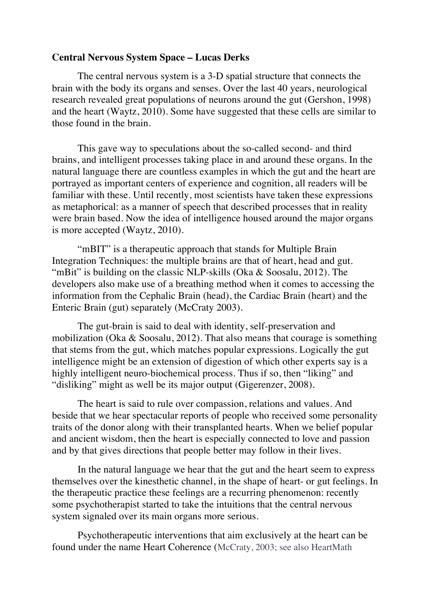## **Central Nervous System Space – Lucas Derks**

The central nervous system is a 3-D spatial structure that connects the brain with the body its organs and senses. Over the last 40 years, neurological research revealed great populations of neurons around the gut (Gershon, 1998) and the heart (Waytz, 2010). Some have suggested that these cells are similar to those found in the brain.

This gave way to speculations about the so-called second- and third brains, and intelligent processes taking place in and around these organs. In the natural language there are countless examples in which the gut and the heart are portrayed as important centers of experience and cognition, all readers will be familiar with these. Until recently, most scientists have taken these expressions as metaphorical: as a manner of speech that described processes that in reality were brain based. Now the idea of intelligence housed around the major organs is more accepted (Waytz, 2010).

"mBIT" is a therapeutic approach that stands for Multiple Brain Integration Techniques: the multiple brains are that of heart, head and gut. "mBit" is building on the classic NLP-skills (Oka & Soosalu, 2012). The developers also make use of a breathing method when it comes to accessing the information from the Cephalic Brain (head), the Cardiac Brain (heart) and the Enteric Brain (gut) separately (McCraty 2003).

The gut-brain is said to deal with identity, self-preservation and mobilization (Oka & Soosalu, 2012). That also means that courage is something that stems from the gut, which matches popular expressions. Logically the gut intelligence might be an extension of digestion of which other experts say is a highly intelligent neuro-biochemical process. Thus if so, then "liking" and "disliking" might as well be its major output (Gigerenzer, 2008).

The heart is said to rule over compassion, relations and values. And beside that we hear spectacular reports of people who received some personality traits of the donor along with their transplanted hearts. When we belief popular and ancient wisdom, then the heart is especially connected to love and passion and by that gives directions that people better may follow in their lives.

In the natural language we hear that the gut and the heart seem to express themselves over the kinesthetic channel, in the shape of heart- or gut feelings. In the therapeutic practice these feelings are a recurring phenomenon: recently some psychotherapist started to take the intuitions that the central nervous system signaled over its main organs more serious.

Psychotherapeutic interventions that aim exclusively at the heart can be found under the name Heart Coherence (McCraty, 2003; see also HeartMath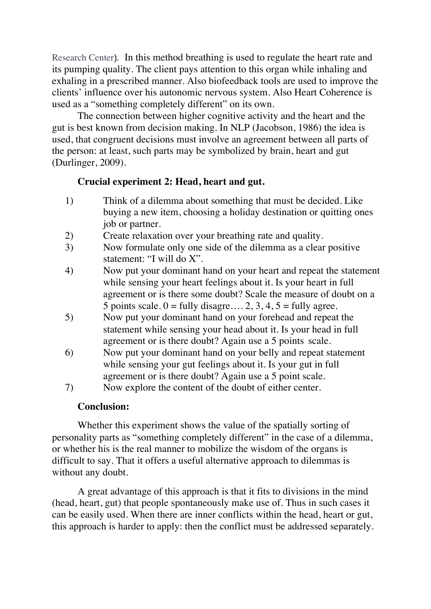Research Center). In this method breathing is used to regulate the heart rate and its pumping quality. The client pays attention to this organ while inhaling and exhaling in a prescribed manner. Also biofeedback tools are used to improve the clients' influence over his autonomic nervous system. Also Heart Coherence is used as a "something completely different" on its own.

The connection between higher cognitive activity and the heart and the gut is best known from decision making. In NLP (Jacobson, 1986) the idea is used, that congruent decisions must involve an agreement between all parts of the person: at least, such parts may be symbolized by brain, heart and gut (Durlinger, 2009).

## **Crucial experiment 2: Head, heart and gut.**

- 1) Think of a dilemma about something that must be decided. Like buying a new item, choosing a holiday destination or quitting ones job or partner.
- 2) Create relaxation over your breathing rate and quality.
- 3) Now formulate only one side of the dilemma as a clear positive statement: "I will do X".
- 4) Now put your dominant hand on your heart and repeat the statement while sensing your heart feelings about it. Is your heart in full agreement or is there some doubt? Scale the measure of doubt on a 5 points scale.  $0 = \text{fully disagree} \dots 2, 3, 4, 5 = \text{fully agree}$ .
- 5) Now put your dominant hand on your forehead and repeat the statement while sensing your head about it. Is your head in full agreement or is there doubt? Again use a 5 points scale.
- 6) Now put your dominant hand on your belly and repeat statement while sensing your gut feelings about it. Is your gut in full agreement or is there doubt? Again use a 5 point scale.
- 7) Now explore the content of the doubt of either center.

## **Conclusion:**

Whether this experiment shows the value of the spatially sorting of personality parts as "something completely different" in the case of a dilemma, or whether his is the real manner to mobilize the wisdom of the organs is difficult to say. That it offers a useful alternative approach to dilemmas is without any doubt.

A great advantage of this approach is that it fits to divisions in the mind (head, heart, gut) that people spontaneously make use of. Thus in such cases it can be easily used. When there are inner conflicts within the head, heart or gut, this approach is harder to apply: then the conflict must be addressed separately.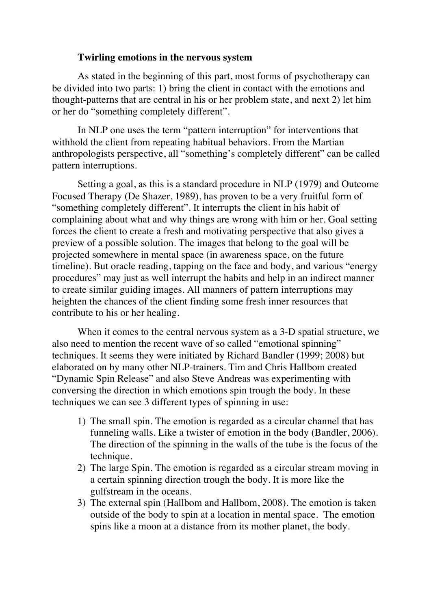## **Twirling emotions in the nervous system**

As stated in the beginning of this part, most forms of psychotherapy can be divided into two parts: 1) bring the client in contact with the emotions and thought-patterns that are central in his or her problem state, and next 2) let him or her do "something completely different".

In NLP one uses the term "pattern interruption" for interventions that withhold the client from repeating habitual behaviors. From the Martian anthropologists perspective, all "something's completely different" can be called pattern interruptions.

Setting a goal, as this is a standard procedure in NLP (1979) and Outcome Focused Therapy (De Shazer, 1989), has proven to be a very fruitful form of "something completely different". It interrupts the client in his habit of complaining about what and why things are wrong with him or her. Goal setting forces the client to create a fresh and motivating perspective that also gives a preview of a possible solution. The images that belong to the goal will be projected somewhere in mental space (in awareness space, on the future timeline). But oracle reading, tapping on the face and body, and various "energy procedures" may just as well interrupt the habits and help in an indirect manner to create similar guiding images. All manners of pattern interruptions may heighten the chances of the client finding some fresh inner resources that contribute to his or her healing.

When it comes to the central nervous system as a 3-D spatial structure, we also need to mention the recent wave of so called "emotional spinning" techniques. It seems they were initiated by Richard Bandler (1999; 2008) but elaborated on by many other NLP-trainers. Tim and Chris Hallbom created "Dynamic Spin Release" and also Steve Andreas was experimenting with conversing the direction in which emotions spin trough the body. In these techniques we can see 3 different types of spinning in use:

- 1) The small spin. The emotion is regarded as a circular channel that has funneling walls. Like a twister of emotion in the body (Bandler, 2006). The direction of the spinning in the walls of the tube is the focus of the technique.
- 2) The large Spin. The emotion is regarded as a circular stream moving in a certain spinning direction trough the body. It is more like the gulfstream in the oceans.
- 3) The external spin (Hallbom and Hallbom, 2008). The emotion is taken outside of the body to spin at a location in mental space. The emotion spins like a moon at a distance from its mother planet, the body.